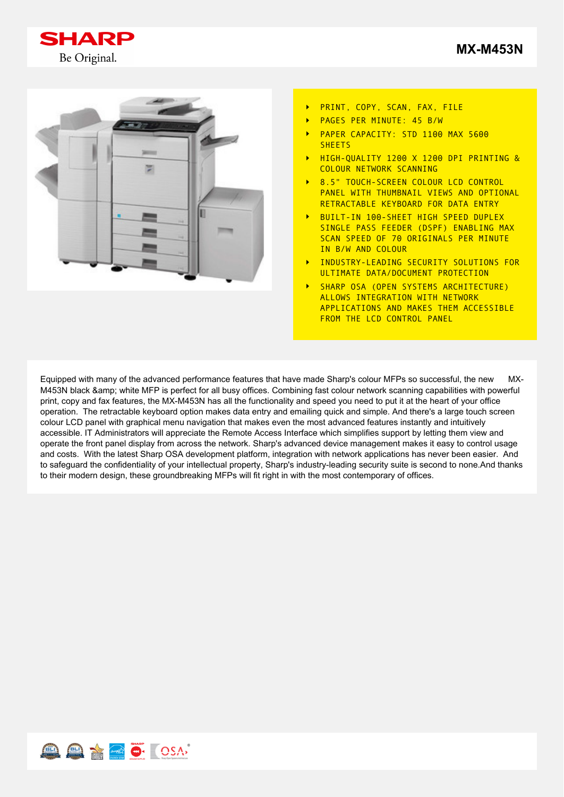





- PRINT, COPY, SCAN, FAX, FILE  $\ddot{\phantom{1}}$
- PAGES PER MINUTE: 45 B/W  $\ddot{\phantom{1}}$
- PAPER CAPACITY: STD 1100 MAX 5600  $\overline{\phantom{a}}$ SHEETS
- HIGH-QUALITY 1200 X 1200 DPI PRINTING & COLOUR NETWORK SCANNING
- 8.5" TOUCH-SCREEN COLOUR LCD CONTROL  $\mathbf{B}$ PANEL WITH THUMBNAIL VIEWS AND OPTIONAL RETRACTABLE KEYBOARD FOR DATA ENTRY
- **BUILT-IN 100-SHEET HIGH SPEED DUPLEX** SINGLE PASS FEEDER (DSPF) ENABLING MAX SCAN SPEED OF 70 ORIGINALS PER MINUTE IN B/W AND COLOUR
- INDUSTRY-LEADING SECURITY SOLUTIONS FOR  $\ddot{\phantom{1}}$ ULTIMATE DATA/DOCUMENT PROTECTION
- SHARP OSA (OPEN SYSTEMS ARCHITECTURE) ALLOWS INTEGRATION WITH NETWORK APPLICATIONS AND MAKES THEM ACCESSIBLE FROM THE LCD CONTROL PANEL

Equipped with many of the advanced performance features that have made Sharp's colour MFPs so successful, the new MX-M453N black & amp; white MFP is perfect for all busy offices. Combining fast colour network scanning capabilities with powerful print, copy and fax features, the MX-M453N has all the functionality and speed you need to put it at the heart of your office operation. The retractable keyboard option makes data entry and emailing quick and simple. And there's a large touch screen colour LCD panel with graphical menu navigation that makes even the most advanced features instantly and intuitively accessible. IT Administrators will appreciate the Remote Access Interface which simplifies support by letting them view and operate the front panel display from across the network. Sharp's advanced device management makes it easy to control usage and costs. With the latest Sharp OSA development platform, integration with network applications has never been easier. And to safeguard the confidentiality of your intellectual property, Sharp's industry-leading security suite is second to none.And thanks to their modern design, these groundbreaking MFPs will fit right in with the most contemporary of offices.